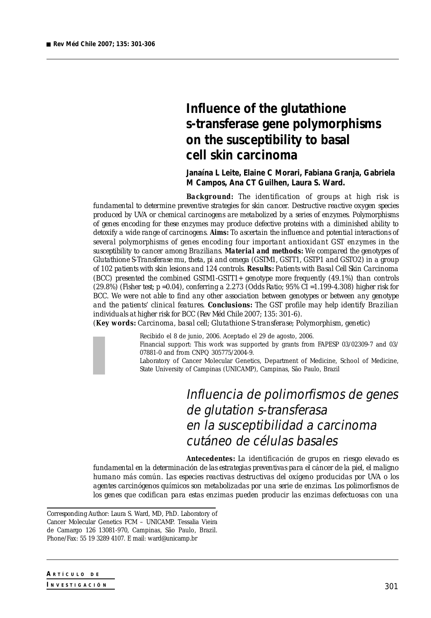# **Influence of the glutathione s-transferase gene polymorphisms on the susceptibility to basal cell skin carcinoma**

**Janaína L Leite, Elaine C Morari, Fabiana Granja, Gabriela M Campos, Ana CT Guilhen, Laura S. Ward.**

*Background: The identification of groups at high risk is fundamental to determine preventive strategies for skin cancer. Destructive reactive oxygen species produced by UVA or chemical carcinogens are metabolized by a series of enzymes. Polymorphisms of genes encoding for these enzymes may produce defective proteins with a diminished ability to detoxify a wide range of carcinogens. Aims: To ascertain the influence and potential interactions of several polymorphisms of genes encoding four important antioxidant GST enzymes in the susceptibility to cancer among Brazilians. Material and methods: We compared the genotypes of Glutathione S-Transferase mu, theta, pi and omega (GSTM1, GSTT1, GSTP1 and GSTO2) in a group of 102 patients with skin lesions and 124 controls. Results: Patients with Basal Cell Skin Carcinoma (BCC) presented the combined GSTM1-GSTT1+ genotype more frequently (49.1%) than controls (29.8%) (Fisher test; p =0.04), conferring a 2.273 (Odds Ratio; 95% CI =1.199-4.308) higher risk for BCC. We were not able to find any other association between genotypes or between any genotype and the patients' clinical features. Conclusions: The GST profile may help identify Brazilian individuals at higher risk for BCC (Rev Méd Chile 2007; 135: 301-6).*

*(Key words: Carcinoma, basal cell; Glutathione S-transferase; Polymorphism, genetic)*



Recibido el 8 de junio, 2006. Aceptado el 29 de agosto, 2006. Financial support: This work was supported by grants from FAPESP 03/02309-7 and 03/ 07881-0 and from CNPQ 305775/2004-9. Laboratory of Cancer Molecular Genetics, Department of Medicine, School of Medicine, State University of Campinas (UNICAMP), Campinas, São Paulo, Brazil

> Influencia de polimorfismos de genes de glutation s-transferasa en la susceptibilidad a carcinoma cutáneo de células basales

*Antecedentes: La identificación de grupos en riesgo elevado es fundamental en la determinación de las estrategias preventivas para el cáncer de la piel, el maligno humano más común. Las especies reactivas destructivas del oxígeno producidas por UVA o los agentes carcinógenos químicos son metabolizadas por una serie de enzimas. Los polimorfismos de los genes que codifican para estas enzimas pueden producir las enzimas defectuosas con una*

*Corresponding Author:* Laura S. Ward, MD, PhD. Laboratory of Cancer Molecular Genetics FCM – UNICAMP. Tessalia Vieira de Camargo 126 13081-970, Campinas, São Paulo, Brazil. Phone/Fax: 55 19 3289 4107. E mail: ward@unicamp.br

**A R <sup>T</sup> <sup>Í</sup> <sup>C</sup> <sup>U</sup> <sup>L</sup> O D <sup>E</sup>**

**I N <sup>V</sup> <sup>E</sup> <sup>S</sup> <sup>T</sup> <sup>I</sup> <sup>G</sup> <sup>A</sup> <sup>C</sup> <sup>I</sup> <sup>Ó</sup> <sup>N</sup>**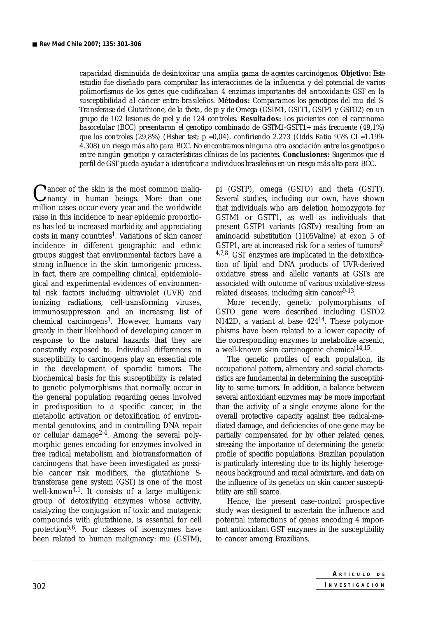*capacidad disminuida de desintoxicar una amplia gama de agentes carcinógenos. Objetivo: Este estudio fue diseñado para comprobar las interacciones de la influencia y del potencial de varios polimorfismos de los genes que codificaban 4 enzimas importantes del antioxidante GST en la susceptibilidad al cáncer entre brasileños. Métodos: Comparamos los genotipos del mu del S-Transferase del Glutathione, de la theta, de pi y de Omega (GSTM1, GSTT1, GSTP1 y GSTO2) en un grupo de 102 lesiones de piel y de 124 controles. Resultados: Los pacientes con el carcinoma basocelular (BCC) presentaron el genotipo combinado de GSTM1-GSTT1+ más frecuente (49,1%) que los controles (29,8%) (Fisher test; p =0,04), confiriendo 2.273 (Odds Ratio 95% CI =1.199- 4.308) un riesgo más alto para BCC. No encontramos ninguna otra asociación entre los genotipos o entre ningún genotipo y características clínicas de los pacientes. Conclusiones: Sugerimos que el perfil de GST pueda ayudar a identificar a individuos brasileños en un riesgo más alto para BCC.*

Cancer of the skin is the most common malig-<br>mancy in human beings. More than one million cases occur every year and the worldwide raise in this incidence to near epidemic proportions has led to increased morbidity and appreciating  $costs$  in many countries<sup>1</sup>. Variations of skin cancer incidence in different geographic and ethnic groups suggest that environmental factors have a strong influence in the skin tumorigenic process. In fact, there are compelling clinical, epidemiological and experimental evidences of environmental risk factors including ultraviolet (UVR) and ionizing radiations, cell-transforming viruses, immunosuppression and an increasing list of chemical carcinogens<sup>1</sup>. However, humans vary greatly in their likelihood of developing cancer in response to the natural hazards that they are constantly exposed to. Individual differences in susceptibility to carcinogens play an essential role in the development of sporadic tumors. The biochemical basis for this susceptibility is related to genetic polymorphisms that normally occur in the general population regarding genes involved in predisposition to a specific cancer, in the metabolic activation or detoxification of environmental genotoxins, and in controlling DNA repair or cellular damage<sup>2-4</sup>. Among the several polymorphic genes encoding for enzymes involved in free radical metabolism and biotransformation of carcinogens that have been investigated as possible cancer risk modifiers, the glutathione Stransferase gene system (GST) is one of the most well-known<sup> $4,5$ </sup>. It consists of a large multigenic group of detoxifying enzymes whose activity, catalyzing the conjugation of toxic and mutagenic compounds with glutathione, is essential for cell protection<sup>5,6</sup>. Four classes of isoenzymes have been related to human malignancy: mu (GSTM),

pi (GSTP), omega (GSTO) and theta (GSTT). Several studies, including our own, have shown that individuals who are deletion homozygote for GSTM1 or GSTT1, as well as individuals that present GSTP1 variants (GSTv) resulting from an aminoacid substitution (1105Valine) at exon 5 of GSTP1, are at increased risk for a series of tumors<sup>2-</sup>  $4.7,8$ . GST enzymes are implicated in the detoxification of lipid and DNA products of UVR-derived oxidative stress and allelic variants at GSTs are associated with outcome of various oxidative-stress related diseases, including skin cancer $9-13$ .

More recently, genetic polymorphisms of GSTO gene were described including GSTO2 N142D, a variant at base 42414. These polymorphisms have been related to a lower capacity of the corresponding enzymes to metabolize arsenic, a well-known skin carcinogenic chemical $14,15$ .

The genetic profiles of each population, its occupational pattern, alimentary and social characteristics are fundamental in determining the susceptibility to some tumors. In addition, a balance between several antioxidant enzymes may be more important than the activity of a single enzyme alone for the overall protective capacity against free radical-mediated damage, and deficiencies of one gene may be partially compensated for by other related genes, stressing the importance of determining the genetic profile of specific populations. Brazilian population is particularly interesting due to its highly heterogeneous background and racial admixture, and data on the influence of its genetics on skin cancer susceptibility are still scarce.

Hence, the present case-control prospective study was designed to ascertain the influence and potential interactions of genes encoding 4 important antioxidant GST enzymes in the susceptibility to cancer among Brazilians.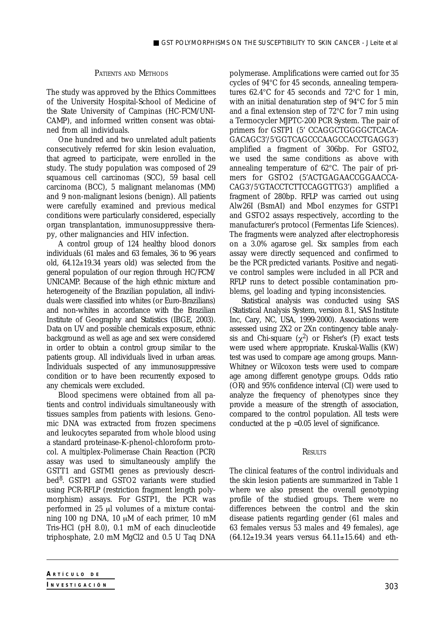## PATIENTS AND METHODS

The study was approved by the Ethics Committees of the University Hospital-School of Medicine of the State University of Campinas (HC-FCM/UNI-CAMP), and informed written consent was obtained from all individuals.

One hundred and two unrelated adult patients consecutively referred for skin lesion evaluation, that agreed to participate, were enrolled in the study. The study population was composed of 29 squamous cell carcinomas (SCC), 59 basal cell carcinoma (BCC), 5 malignant melanomas (MM) and 9 non-malignant lesions (benign). All patients were carefully examined and previous medical conditions were particularly considered, especially organ transplantation, immunosuppressive therapy, other malignancies and HIV infection.

A control group of 124 healthy blood donors individuals (61 males and 63 females, 36 to 96 years old, 64.12±19.34 years old) was selected from the general population of our region through HC/FCM/ UNICAMP. Because of the high ethnic mixture and heterogeneity of the Brazilian population, all individuals were classified into whites (or Euro-Brazilians) and non-whites in accordance with the Brazilian Institute of Geography and Statistics (IBGE, 2003). Data on UV and possible chemicals exposure, ethnic background as well as age and sex were considered in order to obtain a control group similar to the patients group. All individuals lived in urban areas. Individuals suspected of any immunosuppressive condition or to have been recurrently exposed to any chemicals were excluded.

Blood specimens were obtained from all patients and control individuals simultaneously with tissues samples from patients with lesions. Genomic DNA was extracted from frozen specimens and leukocytes separated from whole blood using a standard proteinase-K-phenol-chloroform protocol. A multiplex-Polimerase Chain Reaction (PCR) assay was used to simultaneously amplify the GSTT1 and GSTM1 genes as previously described8. GSTP1 and GSTO2 variants were studied using PCR-RFLP (restriction fragment length polymorphism) assays. For GSTP1, the PCR was performed in 25 µl volumes of a mixture containing 100 ng DNA, 10 µM of each primer, 10 mM Tris-HCl (pH 8.0), 0.1 mM of each dinucleotide triphosphate, 2.0 mM MgCl2 and 0.5 U Taq DNA

Statistical analysis was conducted using SAS (Statistical Analysis System, version 8.1, SAS Institute Inc, Cary, NC, USA, 1999-2000). Associations were assessed using 2X2 or 2Xn contingency table analysis and Chi-square  $(\chi^2)$  or Fisher's (F) exact tests were used where appropriate. Kruskal-Wallis (KW) test was used to compare age among groups. Mann-Whitney or Wilcoxon tests were used to compare age among different genotype groups. Odds ratio (OR) and 95% confidence interval (CI) were used to analyze the frequency of phenotypes since they provide a measure of the strength of association, compared to the control population. All tests were conducted at the p =0.05 level of significance.

#### **RESULTS**

The clinical features of the control individuals and the skin lesion patients are summarized in Table 1 where we also present the overall genotyping profile of the studied groups. There were no differences between the control and the skin disease patients regarding gender (61 males and 63 females versus 53 males and 49 females), age  $(64.12 \pm 19.34$  years versus  $64.11 \pm 15.64$  and eth-

polymerase. Amplifications were carried out for 35 cycles of 94°C for 45 seconds, annealing temperatures 62.4°C for 45 seconds and 72°C for 1 min, with an initial denaturation step of 94°C for 5 min and a final extension step of 72°C for 7 min using a Termocycler MJPTC-200 PCR System. The pair of primers for GSTP1 (5' CCAGGCTGGGGCTCACA-GACAGC3'/5'GGTCAGCCCAAGCCACCTGAGG3') amplified a fragment of 306bp. For GSTO2, we used the same conditions as above with annealing temperature of 62°C. The pair of primers for GSTO2 (5'ACTGAGAACCGGAACCA-CAG3'/5'GTACCTCTTCCAGGTTG3') amplified a fragment of 280bp. RFLP was carried out using Alw26I (BsmAI) and MboI enzymes for GSTP1 and GSTO2 assays respectively, according to the manufacturer's protocol (Fermentas Life Sciences). The fragments were analyzed after electrophoresis on a 3.0% agarose gel. Six samples from each assay were directly sequenced and confirmed to be the PCR predicted variants. Positive and negative control samples were included in all PCR and RFLP runs to detect possible contamination problems, gel loading and typing inconsistencies.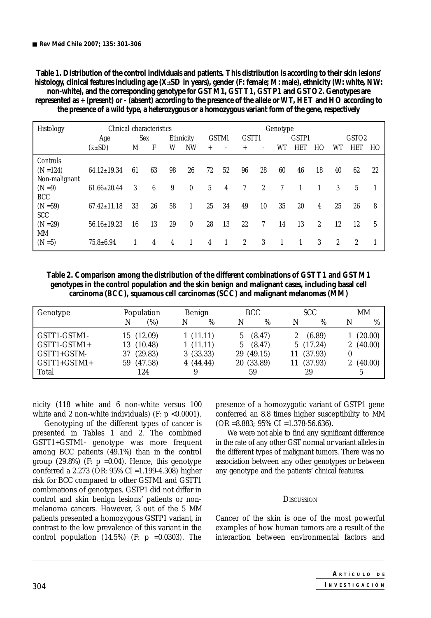**Table 1. Distribution of the control individuals and patients. This distribution is according to their skin lesions' histology, clinical features including age (X**±**SD in years), gender (F: female; M: male), ethnicity (W: white, NW: non-white), and the corresponding genotype for GSTM1, GSTT1, GSTP1 and GSTO2. Genotypes are represented as + (present) or - (absent) according to the presence of the allele or WT, HET and HO according to the presence of a wild type, a heterozygous or a homozygous variant form of the gene, respectively**

| Histology     | Clinical characteristics |     |    |           | Genotype     |       |    |                |                |       |     |                   |                |                |    |
|---------------|--------------------------|-----|----|-----------|--------------|-------|----|----------------|----------------|-------|-----|-------------------|----------------|----------------|----|
|               | Age                      | Sex |    | Ethnicity |              | GSTM1 |    | GSTT1          |                | GSTP1 |     | GSTO <sub>2</sub> |                |                |    |
|               | $(\overline{x} \pm SD)$  | M   | F  | W         | NW           | $+$   |    | $^{+}$         |                | WT    | HET | HО                | WT             | HET            | HO |
| Controls      |                          |     |    |           |              |       |    |                |                |       |     |                   |                |                |    |
| $(N = 124)$   | $64.12 \pm 19.34$        | 61  | 63 | 98        | 26           | 72    | 52 | 96             | 28             | 60    | 46  | 18                | 40             | 62             | 22 |
| Non-malignant |                          |     |    |           |              |       |    |                |                |       |     |                   |                |                |    |
| $(N = 9)$     | $61.66 \pm 20.44$        | 3   | 6  | 9         | $\theta$     | 5     | 4  | $\tau$         | $\overline{2}$ | 7     |     |                   | 3              | 5              |    |
| <b>BCC</b>    |                          |     |    |           |              |       |    |                |                |       |     |                   |                |                |    |
| $(N = 59)$    | $67.42 \pm 11.18$        | 33  | 26 | 58        | $\mathbf{1}$ | 25    | 34 | 49             | 10             | 35    | 20  | 4                 | 25             | 26             | 8  |
| <b>SCC</b>    |                          |     |    |           |              |       |    |                |                |       |     |                   |                |                |    |
| $(N = 29)$    | $56.16 \pm 19.23$        | 16  | 13 | 29        | $\theta$     | 28    | 13 | 22             | $\tau$         | 14    | 13  | $\overline{c}$    | 12             | 12             | 5  |
| МM            |                          |     |    |           |              |       |    |                |                |       |     |                   |                |                |    |
| $(N = 5)$     | $75.8 \pm 6.94$          |     | 4  | 4         | 1            | 4     |    | $\overline{c}$ | 3              |       |     | 3                 | $\overline{c}$ | $\overline{c}$ |    |

**Table 2. Comparison among the distribution of the different combinations of GSTT1 and GSTM1 genotypes in the control population and the skin benign and malignant cases, including basal cell carcinoma (BCC), squamous cell carcinomas (SCC) and malignant melanomas (MM)**

| Genotype       | Population    | Benign   | <b>BCC</b>   | <b>SCC</b>    | MМ                        |  |
|----------------|---------------|----------|--------------|---------------|---------------------------|--|
|                | (%)<br>N      | %<br>N   | %<br>N       | $\%$<br>N     | $\%$<br>N                 |  |
| GSTT1-GSTM1-   | 15 (12.09)    | 1(11.11) | (8.47)<br>5. | (6.89)        | (20.00)                   |  |
| GSTT1-GSTM1+   | 13 (10.48)    | 1(11.11) | (8.47)<br>5  | 5(17.24)      | (40.00)<br>$\overline{2}$ |  |
| GSTT1+GSTM-    | (29.83)<br>37 | 3(33.33) | 29 (49.15)   | (37.93)<br>11 |                           |  |
| $GSTT1+GSTM1+$ | (47.58)<br>59 | 4(44.44) | 20 (33.89)   | (37.93)<br>11 | (40.00)                   |  |
| Total          | 124           | 9        | 59           | 29            | 5                         |  |

nicity (118 white and 6 non-white versus 100 white and 2 non-white individuals) (F:  $p < 0.0001$ ).

Genotyping of the different types of cancer is presented in Tables 1 and 2. The combined GSTT1+GSTM1- genotype was more frequent among BCC patients (49.1%) than in the control group  $(29.8\%)$  (F: p =0.04). Hence, this genotype conferred a 2.273 (OR: 95% CI =1.199-4.308) higher risk for BCC compared to other GSTM1 and GSTT1 combinations of genotypes. GSTP1 did not differ in control and skin benign lesions' patients or nonmelanoma cancers. However, 3 out of the 5 MM patients presented a homozygous GSTP1 variant, in contrast to the low prevalence of this variant in the control population  $(14.5\%)$  (F: p =0.0303). The presence of a homozygotic variant of GSTP1 gene conferred an 8.8 times higher susceptibility to MM  $(OR = 8.883; 95\% CI = 1.378-56.636).$ 

We were not able to find any significant difference in the rate of any other GST normal or variant alleles in the different types of malignant tumors. There was no association between any other genotypes or between any genotype and the patients' clinical features.

### **DISCUSSION**

Cancer of the skin is one of the most powerful examples of how human tumors are a result of the interaction between environmental factors and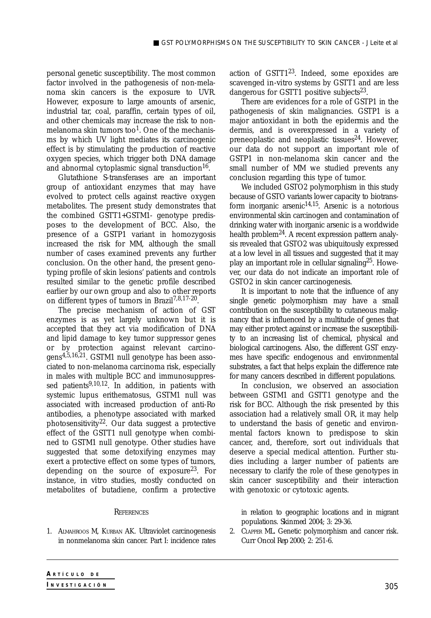personal genetic susceptibility. The most common factor involved in the pathogenesis of non-melanoma skin cancers is the exposure to UVR. However, exposure to large amounts of arsenic, industrial tar, coal, paraffin, certain types of oil, and other chemicals may increase the risk to nonmelanoma skin tumors too<sup>1</sup>. One of the mechanisms by which UV light mediates its carcinogenic effect is by stimulating the production of reactive oxygen species, which trigger both DNA damage and abnormal cytoplasmic signal transduction<sup>16</sup>.

Glutathione S-transferases are an important group of antioxidant enzymes that may have evolved to protect cells against reactive oxygen metabolites. The present study demonstrates that the combined GSTT1+GSTM1- genotype predisposes to the development of BCC. Also, the presence of a GSTP1 variant in homozygosis increased the risk for MM, although the small number of cases examined prevents any further conclusion. On the other hand, the present genotyping profile of skin lesions' patients and controls resulted similar to the genetic profile described earlier by our own group and also to other reports on different types of tumors in Brazil7,8,17-20.

The precise mechanism of action of GST enzymes is as yet largely unknown but it is accepted that they act via modification of DNA and lipid damage to key tumor suppressor genes or by protection against relevant carcinogens4,5,16,21. GSTM1 null genotype has been associated to non-melanoma carcinoma risk, especially in males with multiple BCC and immunosuppressed patients<sup>9,10,12</sup>. In addition, in patients with systemic lupus erithematosus, GSTM1 null was associated with increased production of anti-Ro antibodies, a phenotype associated with marked photosensitivity<sup>22</sup>. Our data suggest a protective effect of the GSTT1 null genotype when combined to GSTM1 null genotype. Other studies have suggested that some detoxifying enzymes may exert a protective effect on some types of tumors, depending on the source of exposure23. For instance, *in vitro* studies, mostly conducted on metabolites of butadiene, confirm a protective

### **REFERENCES**

1. ALMAHROOS M, KURBAN AK. Ultraviolet carcinogenesis in nonmelanoma skin cancer. Part I: incidence rates action of GSTT1<sup>23</sup>. Indeed, some epoxides are scavenged *in-vitro* systems by GSTT1 and are less dangerous for GSTT1 positive subjects<sup>23</sup>.

There are evidences for a role of GSTP1 in the pathogenesis of skin malignancies. GSTP1 is a major antioxidant in both the epidermis and the dermis, and is overexpressed in a variety of preneoplastic and neoplastic tissues<sup>24</sup>. However, our data do not support an important role of GSTP1 in non-melanoma skin cancer and the small number of MM we studied prevents any conclusion regarding this type of tumor.

We included GSTO2 polymorphism in this study because of GSTO variants lower capacity to biotransform inorganic arsenic<sup>14,15</sup>. Arsenic is a notorious environmental skin carcinogen and contamination of drinking water with inorganic arsenic is a worldwide health problem<sup>24</sup>. A recent expression pattern analysis revealed that GSTO2 was ubiquitously expressed at a low level in all tissues and suggested that it may play an important role in cellular signaling<sup>25</sup>. However, our data do not indicate an important role of GSTO2 in skin cancer carcinogenesis.

It is important to note that the influence of any single genetic polymorphism may have a small contribution on the susceptibility to cutaneous malignancy that is influenced by a multitude of genes that may either protect against or increase the susceptibility to an increasing list of chemical, physical and biological carcinogens. Also, the different GST enzymes have specific endogenous and environmental substrates, a fact that helps explain the difference rate for many cancers described in different populations.

In conclusion, we observed an association between GSTM1 and GSTT1 genotype and the risk for BCC. Although the risk presented by this association had a relatively small OR, it may help to understand the basis of genetic and environmental factors known to predispose to skin cancer, and, therefore, sort out individuals that deserve a special medical attention. Further studies including a larger number of patients are necessary to clarify the role of these genotypes in skin cancer susceptibility and their interaction with genotoxic or cytotoxic agents.

in relation to geographic locations and in migrant populations. *Skinmed* 2004; 3: 29-36.

2. CLAPPER ML. Genetic polymorphism and cancer risk. *Curr Oncol Rep* 2000; 2: 251-6.